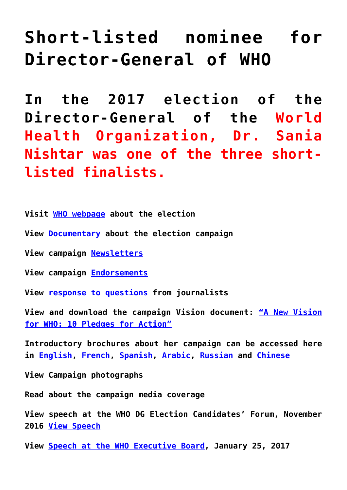# **[Short-listed nominee for](http://www.sanianishtar.info/short-listed-nominee-for-director-general-of-who/) [Director-General of WHO](http://www.sanianishtar.info/short-listed-nominee-for-director-general-of-who/)**

**In the 2017 election of the Director-General of the World Health Organization, Dr. Sania Nishtar was one of the three shortlisted finalists.**

**Visit [WHO webpage](http://www.who.int/dg/election/nishtar/en/) about the election**

- **View [Documentary](https://vimeo.com/179013221) about the election campaign**
- **View campaign [Newsletters](http://www.sanianishtar.info/newsletters/)**
- **View campaign [Endorsements](http://www.sanianishtar.info/endorsements/)**
- **View [response to questions](http://www.sanianishtar.info/responses-to-questions/) from journalists**

**View and download the campaign Vision document: ["A New Vision](http://www.sanianishtar.info/wp-content/uploads/2016/11/Manifesto-Final.pdf) [for WHO: 10 Pledges for Action"](http://www.sanianishtar.info/wp-content/uploads/2016/11/Manifesto-Final.pdf)**

**Introductory brochures about her campaign can be accessed here in [English,](http://www.sanianishtar.info/wp-content/uploads/2016/09/EnglishLanguageProfile.pdf) [French,](http://www.sanianishtar.info/wp-content/uploads/2016/09/FrenchLanguageProfile.pdf) [Spanish,](http://www.sanianishtar.info/wp-content/uploads/2016/09/SpanishLanguageProfilehigh.pdf) [Arabic,](http://www.sanianishtar.info/wp-content/uploads/2016/09/ArabicLanguageProfileHigh.pdf) [Russian](http://www.sanianishtar.info/wp-content/uploads/2016/09/RussianLanguageProfile.pdf) and [Chinese](http://www.sanianishtar.info/wp-content/uploads/2016/09/ChinesArabicLanguageProfileHigh.pdf)**

**View Campaign photographs**

**Read about the campaign media coverage**

**View speech at the WHO DG Election Candidates' Forum, November 2016 [View Speech](https://www.bing.com/videos/search?q=sania+nishtar+who&&view=detail&mid=DB1F53D84C9604816151DB1F53D84C9604816151&&FORM=VRDGAR&ru=%2Fvideos%2Fsearch%3Fq%3Dsania%2520nishtar%2520who%26qs%3Dn%26form%3DQBVR%26%3D%2525eManage%2520Your%2520Search%2520History%2525E%26sp%3D-1%26pq%3Dsania%2520nishtar%2520who%26sc%3D8-17%26sk%3D%26cvid%3DB35F57207D5F40369A70059AA47C5B05)**

**View [Speech at the WHO Executive Board](http://www.sanianishtar.info/wp-content/uploads/2017/10/Speech-for-Executive-Board-Jan-19-786.pdf), January 25, 2017**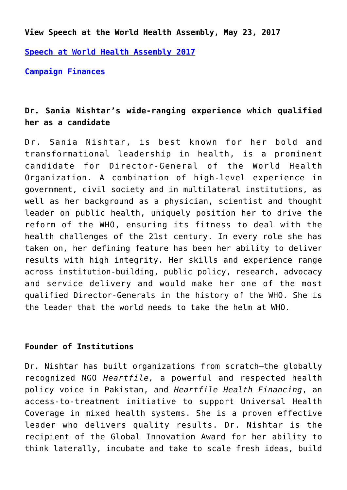**View Speech at the World Health Assembly, May 23, 2017**

**[Speech at World Health Assembly 2017](http://www.sanianishtar.info/wp-content/uploads/2017/05/Speech-of-Dr-Sania-Nishtar-at-the-World-Health-Assembly.pdf)**

**[Campaign Finances](http://www.sanianishtar.info/wp-content/uploads/2017/05/Nishtar_campaign_activities_finances_updated_May_3.pdf)**

## **Dr. Sania Nishtar's wide-ranging experience which qualified her as a candidate**

Dr. Sania Nishtar, is best known for her bold and transformational leadership in health, is a prominent candidate for Director-General of the World Health Organization. A combination of high-level experience in government, civil society and in multilateral institutions, as well as her background as a physician, scientist and thought leader on public health, uniquely position her to drive the reform of the WHO, ensuring its fitness to deal with the health challenges of the 21st century. In every role she has taken on, her defining feature has been her ability to deliver results with high integrity. Her skills and experience range across institution-building, public policy, research, advocacy and service delivery and would make her one of the most qualified Director-Generals in the history of the WHO. She is the leader that the world needs to take the helm at WHO.

#### **Founder of Institutions**

Dr. Nishtar has built organizations from scratch—the globally recognized NGO *Heartfile,* a powerful and respected health policy voice in Pakistan, and *Heartfile Health Financing*, an access-to-treatment initiative to support Universal Health Coverage in mixed health systems. She is a proven effective leader who delivers quality results. Dr. Nishtar is the recipient of the Global Innovation Award for her ability to think laterally, incubate and take to scale fresh ideas, build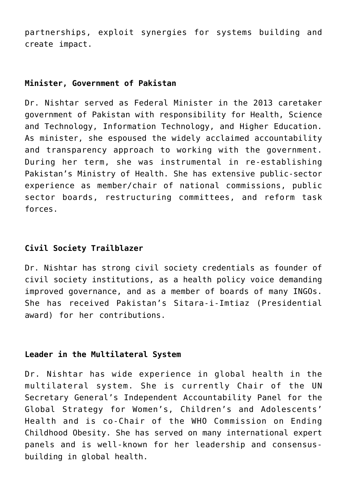partnerships, exploit synergies for systems building and create impact.

#### **Minister, Government of Pakistan**

Dr. Nishtar served as Federal Minister in the 2013 caretaker government of Pakistan with responsibility for Health, Science and Technology, Information Technology, and Higher Education. As minister, she espoused the widely acclaimed accountability and transparency approach to working with the government. During her term, she was instrumental in re-establishing Pakistan's Ministry of Health. She has extensive public-sector experience as member/chair of national commissions, public sector boards, restructuring committees, and reform task forces.

### **Civil Society Trailblazer**

Dr. Nishtar has strong civil society credentials as founder of civil society institutions, as a health policy voice demanding improved governance, and as a member of boards of many INGOs. She has received Pakistan's Sitara-i-Imtiaz (Presidential award) for her contributions.

#### **Leader in the Multilateral System**

Dr. Nishtar has wide experience in global health in the multilateral system. She is currently Chair of the UN Secretary General's Independent Accountability Panel for the Global Strategy for Women's, Children's and Adolescents' Health and is co-Chair of the WHO Commission on Ending Childhood Obesity. She has served on many international expert panels and is well-known for her leadership and consensusbuilding in global health.